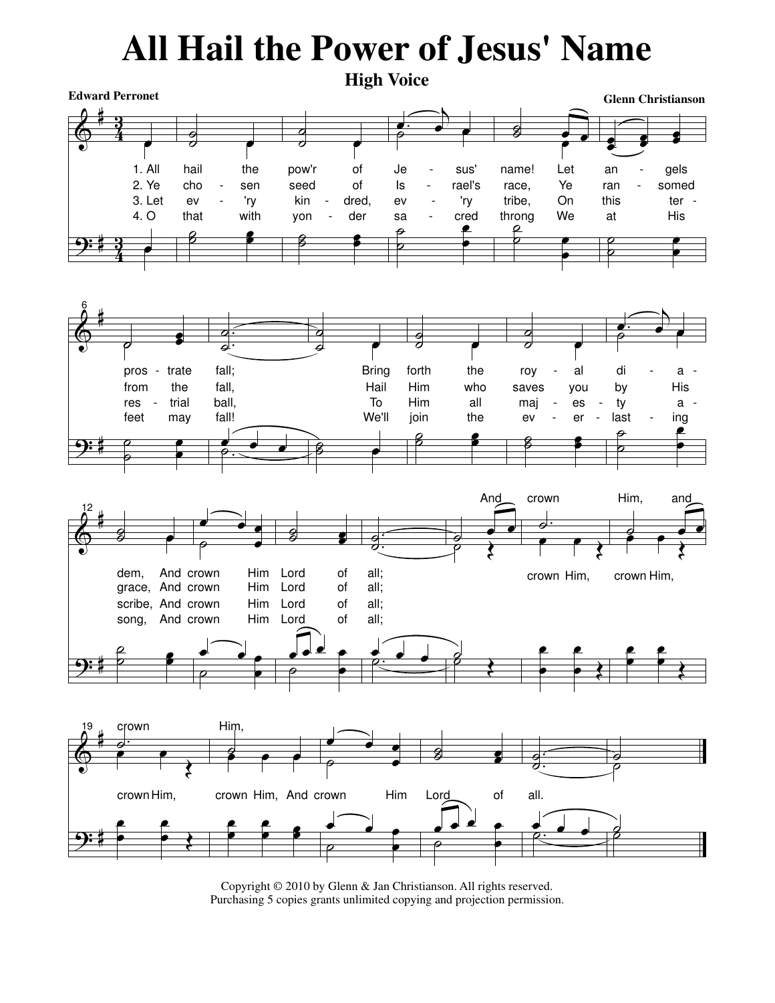## All Hail the Power of Jesus' Name



Copyright © 2010 by Glenn & Jan Christianson. All rights reserved. Purchasing 5 copies grants unlimited copying and projection permission.